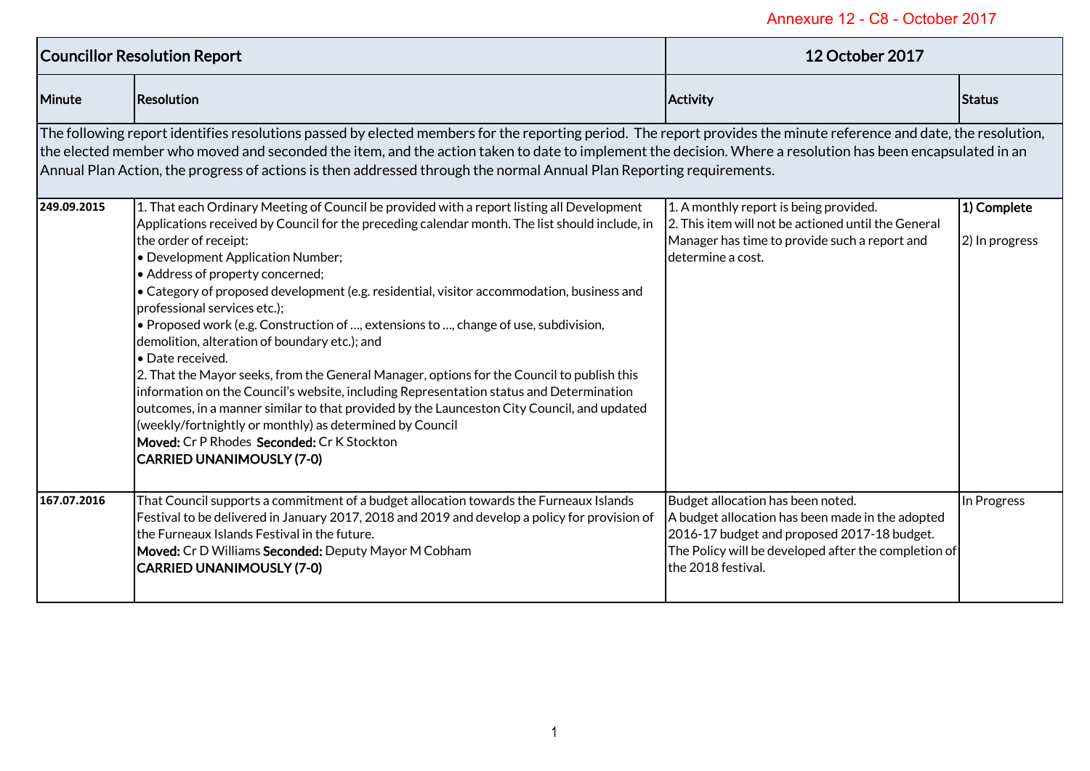| <b>Councillor Resolution Report</b>                                                                                                                                                                                                                                                                                                                                                                                                                      |                                                                                                                                                                                                                                                                                                                                                                                                                                                                                                                                                                                                                                                                                                                                                                                                                                                                                                                                                                                                                              | <b>12 October 2017</b>                                                                                                                                                                                             |                               |
|----------------------------------------------------------------------------------------------------------------------------------------------------------------------------------------------------------------------------------------------------------------------------------------------------------------------------------------------------------------------------------------------------------------------------------------------------------|------------------------------------------------------------------------------------------------------------------------------------------------------------------------------------------------------------------------------------------------------------------------------------------------------------------------------------------------------------------------------------------------------------------------------------------------------------------------------------------------------------------------------------------------------------------------------------------------------------------------------------------------------------------------------------------------------------------------------------------------------------------------------------------------------------------------------------------------------------------------------------------------------------------------------------------------------------------------------------------------------------------------------|--------------------------------------------------------------------------------------------------------------------------------------------------------------------------------------------------------------------|-------------------------------|
| <b>Minute</b>                                                                                                                                                                                                                                                                                                                                                                                                                                            | Resolution                                                                                                                                                                                                                                                                                                                                                                                                                                                                                                                                                                                                                                                                                                                                                                                                                                                                                                                                                                                                                   | <b>Activity</b>                                                                                                                                                                                                    | <b>Status</b>                 |
| The following report identifies resolutions passed by elected members for the reporting period. The report provides the minute reference and date, the resolution,<br>the elected member who moved and seconded the item, and the action taken to date to implement the decision. Where a resolution has been encapsulated in an<br>Annual Plan Action, the progress of actions is then addressed through the normal Annual Plan Reporting requirements. |                                                                                                                                                                                                                                                                                                                                                                                                                                                                                                                                                                                                                                                                                                                                                                                                                                                                                                                                                                                                                              |                                                                                                                                                                                                                    |                               |
| 249.09.2015                                                                                                                                                                                                                                                                                                                                                                                                                                              | 1. That each Ordinary Meeting of Council be provided with a report listing all Development<br>Applications received by Council for the preceding calendar month. The list should include, in<br>the order of receipt:<br>• Development Application Number;<br>• Address of property concerned;<br>• Category of proposed development (e.g. residential, visitor accommodation, business and<br>professional services etc.);<br>. Proposed work (e.g. Construction of , extensions to , change of use, subdivision,<br>demolition, alteration of boundary etc.); and<br>• Date received.<br>2. That the Mayor seeks, from the General Manager, options for the Council to publish this<br>information on the Council's website, including Representation status and Determination<br>outcomes, in a manner similar to that provided by the Launceston City Council, and updated<br>(weekly/fortnightly or monthly) as determined by Council<br><b>Moved:</b> Cr P Rhodes Seconded: Cr K Stockton<br>CARRIED UNANIMOUSLY (7-0) | 1. A monthly report is being provided.<br>2. This item will not be actioned until the General<br>Manager has time to provide such a report and<br>determine a cost.                                                | 1) Complete<br>2) In progress |
| 167.07.2016                                                                                                                                                                                                                                                                                                                                                                                                                                              | That Council supports a commitment of a budget allocation towards the Furneaux Islands<br>Festival to be delivered in January 2017, 2018 and 2019 and develop a policy for provision of<br>Ithe Furneaux Islands Festival in the future.<br>Moved: Cr D Williams Seconded: Deputy Mayor M Cobham<br><b>CARRIED UNANIMOUSLY (7-0)</b>                                                                                                                                                                                                                                                                                                                                                                                                                                                                                                                                                                                                                                                                                         | Budget allocation has been noted.<br>A budget allocation has been made in the adopted<br>2016-17 budget and proposed 2017-18 budget.<br>The Policy will be developed after the completion of<br>the 2018 festival. | In Progress                   |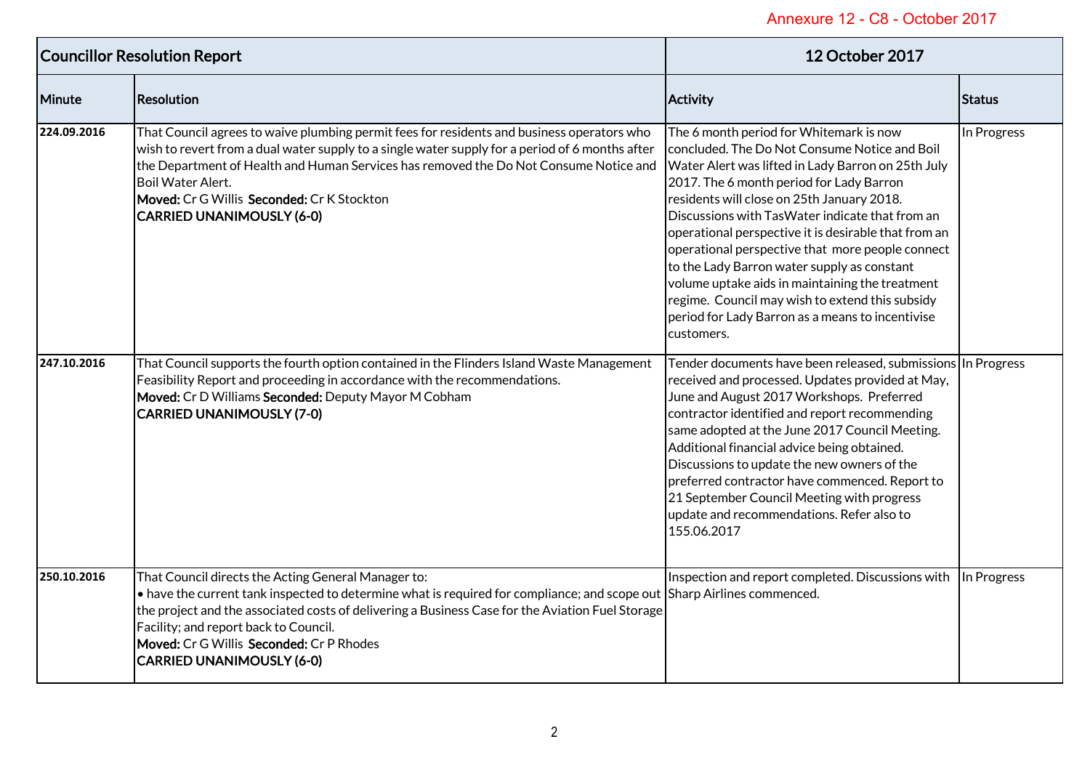| <b>Councillor Resolution Report</b> |                                                                                                                                                                                                                                                                                                                                                                                                                     | <b>12 October 2017</b>                                                                                                                                                                                                                                                                                                                                                                                                                                                                                                                                                                                                         |             |
|-------------------------------------|---------------------------------------------------------------------------------------------------------------------------------------------------------------------------------------------------------------------------------------------------------------------------------------------------------------------------------------------------------------------------------------------------------------------|--------------------------------------------------------------------------------------------------------------------------------------------------------------------------------------------------------------------------------------------------------------------------------------------------------------------------------------------------------------------------------------------------------------------------------------------------------------------------------------------------------------------------------------------------------------------------------------------------------------------------------|-------------|
| Minute                              | <b>Resolution</b>                                                                                                                                                                                                                                                                                                                                                                                                   | <b>Activity</b>                                                                                                                                                                                                                                                                                                                                                                                                                                                                                                                                                                                                                | Status      |
| 224.09.2016                         | That Council agrees to waive plumbing permit fees for residents and business operators who<br>wish to revert from a dual water supply to a single water supply for a period of 6 months after<br>the Department of Health and Human Services has removed the Do Not Consume Notice and<br><b>Boil Water Alert.</b><br>Moved: Cr G Willis Seconded: Cr K Stockton<br><b>CARRIED UNANIMOUSLY (6-0)</b>                | The 6 month period for Whitemark is now<br>concluded. The Do Not Consume Notice and Boil<br>Water Alert was lifted in Lady Barron on 25th July<br>2017. The 6 month period for Lady Barron<br>residents will close on 25th January 2018.<br>Discussions with TasWater indicate that from an<br>operational perspective it is desirable that from an<br>operational perspective that more people connect<br>to the Lady Barron water supply as constant<br>volume uptake aids in maintaining the treatment<br>regime. Council may wish to extend this subsidy<br>period for Lady Barron as a means to incentivise<br>customers. | In Progress |
| 247.10.2016                         | That Council supports the fourth option contained in the Flinders Island Waste Management<br>Feasibility Report and proceeding in accordance with the recommendations.<br>Moved: Cr D Williams Seconded: Deputy Mayor M Cobham<br><b>CARRIED UNANIMOUSLY (7-0)</b>                                                                                                                                                  | Tender documents have been released, submissions In Progress<br>received and processed. Updates provided at May,<br>June and August 2017 Workshops. Preferred<br>contractor identified and report recommending<br>same adopted at the June 2017 Council Meeting.<br>Additional financial advice being obtained.<br>Discussions to update the new owners of the<br>preferred contractor have commenced. Report to<br>21 September Council Meeting with progress<br>update and recommendations. Refer also to<br>155.06.2017                                                                                                     |             |
| 250.10.2016                         | That Council directs the Acting General Manager to:<br>$\bullet$ have the current tank inspected to determine what is required for compliance; and scope out Sharp Airlines commenced.<br>the project and the associated costs of delivering a Business Case for the Aviation Fuel Storage<br>Facility; and report back to Council.<br>Moved: Cr G Willis Seconded: Cr P Rhodes<br><b>CARRIED UNANIMOUSLY (6-0)</b> | Inspection and report completed. Discussions with In Progress                                                                                                                                                                                                                                                                                                                                                                                                                                                                                                                                                                  |             |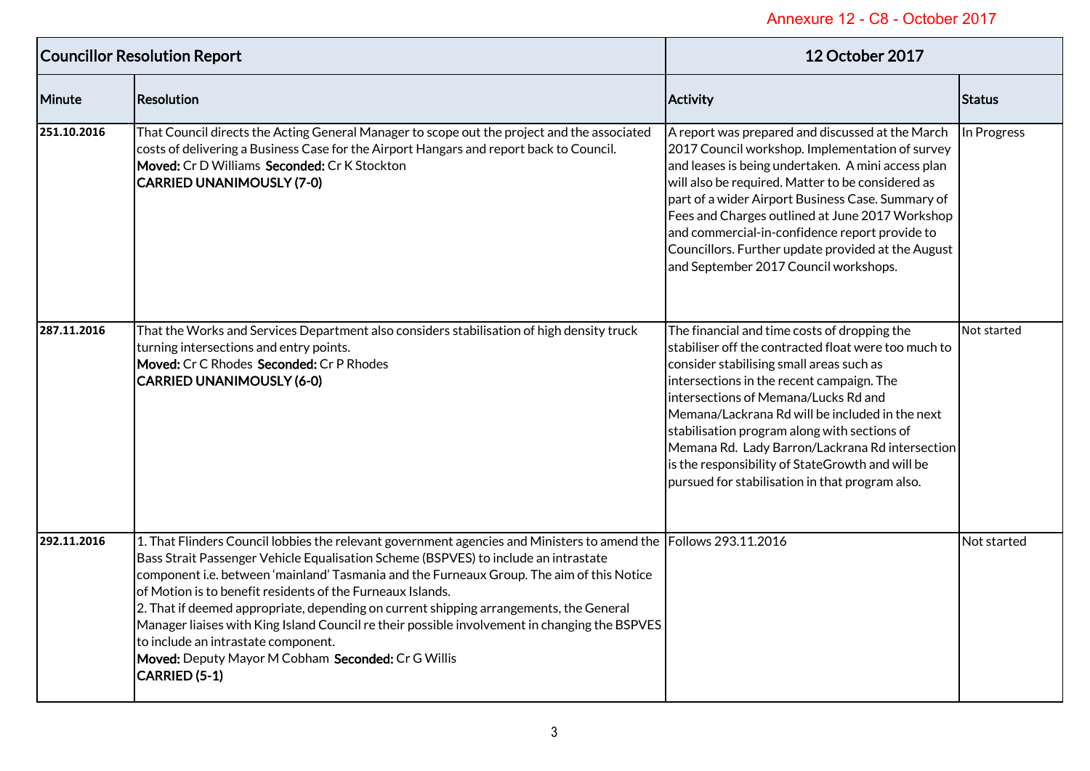| <b>Councillor Resolution Report</b> |                                                                                                                                                                                                                                                                                                                                                                                                                                                                                                                                                                                                                                                                             | 12 October 2017                                                                                                                                                                                                                                                                                                                                                                                                                                                                                    |             |
|-------------------------------------|-----------------------------------------------------------------------------------------------------------------------------------------------------------------------------------------------------------------------------------------------------------------------------------------------------------------------------------------------------------------------------------------------------------------------------------------------------------------------------------------------------------------------------------------------------------------------------------------------------------------------------------------------------------------------------|----------------------------------------------------------------------------------------------------------------------------------------------------------------------------------------------------------------------------------------------------------------------------------------------------------------------------------------------------------------------------------------------------------------------------------------------------------------------------------------------------|-------------|
| Minute                              | Resolution                                                                                                                                                                                                                                                                                                                                                                                                                                                                                                                                                                                                                                                                  | Activity                                                                                                                                                                                                                                                                                                                                                                                                                                                                                           | Status      |
| 251.10.2016                         | That Council directs the Acting General Manager to scope out the project and the associated<br>costs of delivering a Business Case for the Airport Hangars and report back to Council.<br>Moved: Cr D Williams Seconded: Cr K Stockton<br><b>CARRIED UNANIMOUSLY (7-0)</b>                                                                                                                                                                                                                                                                                                                                                                                                  | A report was prepared and discussed at the March<br>2017 Council workshop. Implementation of survey<br>and leases is being undertaken. A mini access plan<br>will also be required. Matter to be considered as<br>part of a wider Airport Business Case. Summary of<br>Fees and Charges outlined at June 2017 Workshop<br>and commercial-in-confidence report provide to<br>Councillors. Further update provided at the August<br>and September 2017 Council workshops.                            | In Progress |
| 287.11.2016                         | That the Works and Services Department also considers stabilisation of high density truck<br>turning intersections and entry points.<br>Moved: Cr C Rhodes Seconded: Cr P Rhodes<br><b>CARRIED UNANIMOUSLY (6-0)</b>                                                                                                                                                                                                                                                                                                                                                                                                                                                        | The financial and time costs of dropping the<br>stabiliser off the contracted float were too much to<br>consider stabilising small areas such as<br>intersections in the recent campaign. The<br>intersections of Memana/Lucks Rd and<br>Memana/Lackrana Rd will be included in the next<br>stabilisation program along with sections of<br>Memana Rd. Lady Barron/Lackrana Rd intersection<br>is the responsibility of StateGrowth and will be<br>pursued for stabilisation in that program also. | Not started |
| 292.11.2016                         | 1. That Flinders Council lobbies the relevant government agencies and Ministers to amend the Follows 293.11.2016<br>Bass Strait Passenger Vehicle Equalisation Scheme (BSPVES) to include an intrastate<br>component i.e. between 'mainland' Tasmania and the Furneaux Group. The aim of this Notice<br>of Motion is to benefit residents of the Furneaux Islands.<br>2. That if deemed appropriate, depending on current shipping arrangements, the General<br>Manager liaises with King Island Council re their possible involvement in changing the BSPVES<br>to include an intrastate component.<br>Moved: Deputy Mayor M Cobham Seconded: Cr G Willis<br>CARRIED (5-1) |                                                                                                                                                                                                                                                                                                                                                                                                                                                                                                    | Not started |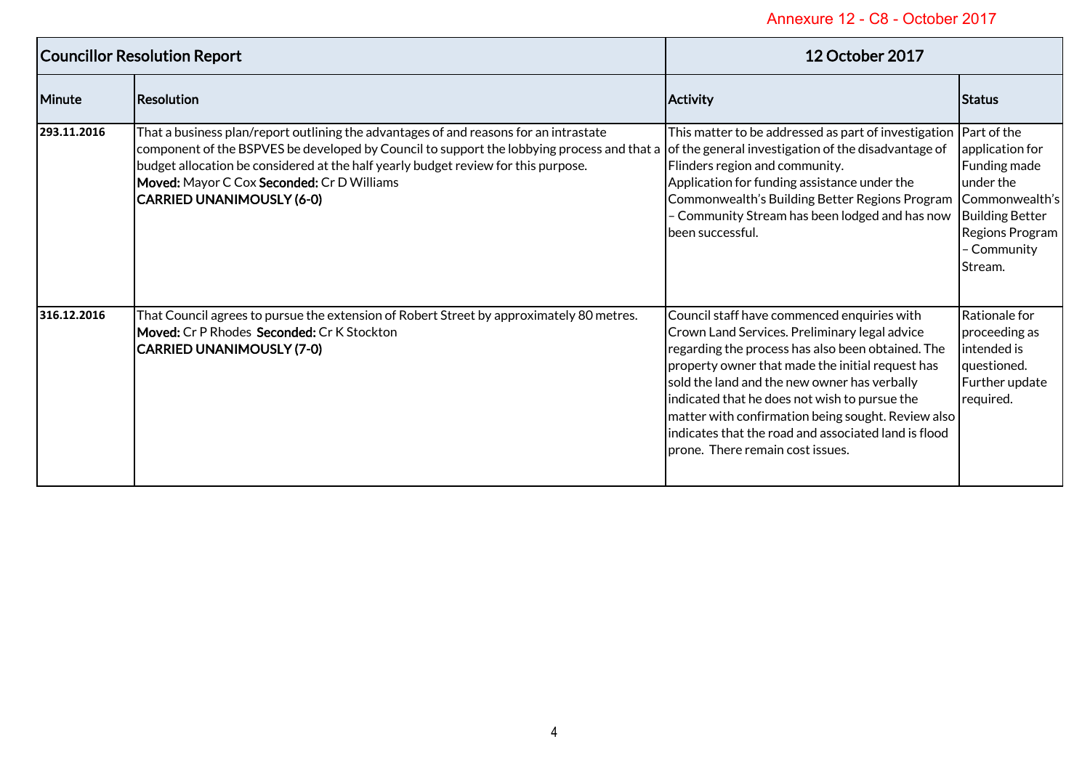| <b>Councillor Resolution Report</b> |                                                                                                                                                                                                                                                                                                                                                                                                                 | <b>12 October 2017</b>                                                                                                                                                                                                                                                                                                                                                                                                                                   |                                                                                                                    |
|-------------------------------------|-----------------------------------------------------------------------------------------------------------------------------------------------------------------------------------------------------------------------------------------------------------------------------------------------------------------------------------------------------------------------------------------------------------------|----------------------------------------------------------------------------------------------------------------------------------------------------------------------------------------------------------------------------------------------------------------------------------------------------------------------------------------------------------------------------------------------------------------------------------------------------------|--------------------------------------------------------------------------------------------------------------------|
| Minute                              | Resolution                                                                                                                                                                                                                                                                                                                                                                                                      | <b>Activity</b>                                                                                                                                                                                                                                                                                                                                                                                                                                          | <b>Status</b>                                                                                                      |
| 293.11.2016                         | That a business plan/report outlining the advantages of and reasons for an intrastate<br>component of the BSPVES be developed by Council to support the lobbying process and that a of the general investigation of the disadvantage of<br>budget allocation be considered at the half yearly budget review for this purpose.<br>Moved: Mayor C Cox Seconded: Cr D Williams<br><b>CARRIED UNANIMOUSLY (6-0)</b> | This matter to be addressed as part of investigation   Part of the<br>Flinders region and community.<br>Application for funding assistance under the<br>Commonwealth's Building Better Regions Program   Commonwealth's<br>- Community Stream has been lodged and has now<br>been successful.                                                                                                                                                            | application for<br>Funding made<br>under the<br><b>Building Better</b><br>Regions Program<br>Community<br>IStream. |
| 316.12.2016                         | That Council agrees to pursue the extension of Robert Street by approximately 80 metres.<br><b>Moved:</b> Cr P Rhodes Seconded: Cr K Stockton<br> CARRIED UNANIMOUSLY (7-0)                                                                                                                                                                                                                                     | Council staff have commenced enquiries with<br>Crown Land Services. Preliminary legal advice<br>regarding the process has also been obtained. The<br>property owner that made the initial request has<br>sold the land and the new owner has verbally<br>indicated that he does not wish to pursue the<br>matter with confirmation being sought. Review also<br>indicates that the road and associated land is flood<br>prone. There remain cost issues. | Rationale for<br>proceeding as<br>intended is<br>questioned.<br>Further update<br>required.                        |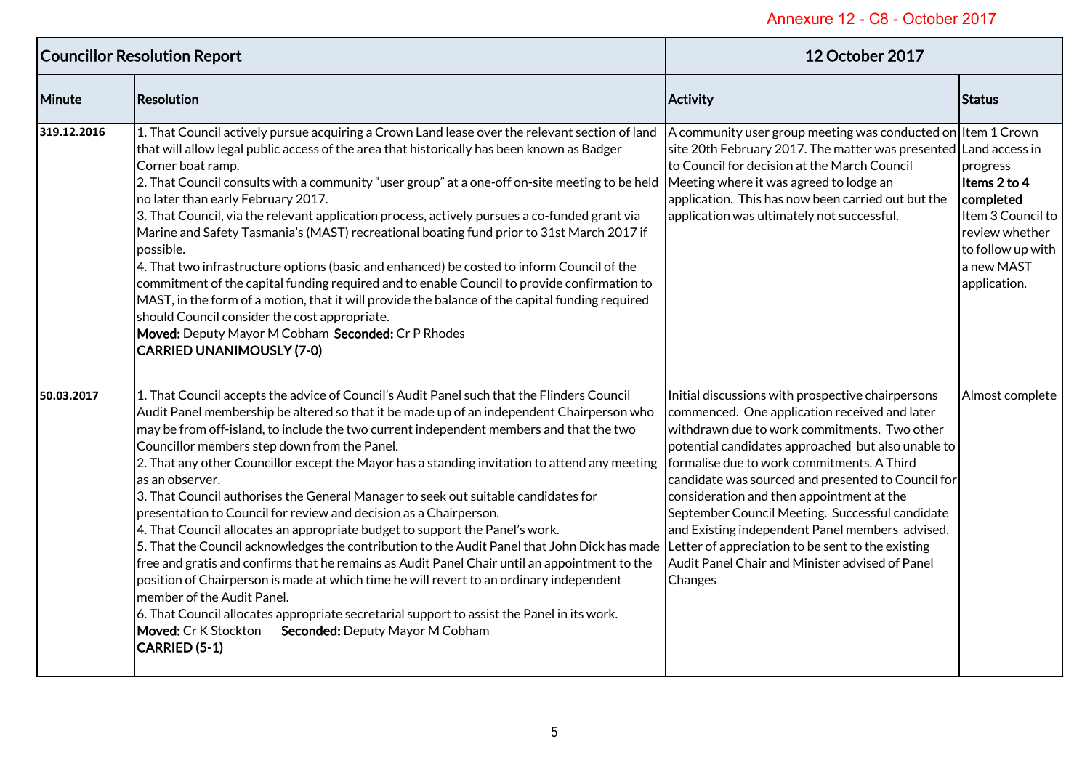| <b>Councillor Resolution Report</b> |                                                                                                                                                                                                                                                                                                                                                                                                                                                                                                                                                                                                                                                                                                                                                                                                                                                                                                                                                                                                                                                                                                                                                                                                                                                         | <b>12 October 2017</b>                                                                                                                                                                                                                                                                                                                                                                                                                                                                                                        |                                                                                                                                 |
|-------------------------------------|---------------------------------------------------------------------------------------------------------------------------------------------------------------------------------------------------------------------------------------------------------------------------------------------------------------------------------------------------------------------------------------------------------------------------------------------------------------------------------------------------------------------------------------------------------------------------------------------------------------------------------------------------------------------------------------------------------------------------------------------------------------------------------------------------------------------------------------------------------------------------------------------------------------------------------------------------------------------------------------------------------------------------------------------------------------------------------------------------------------------------------------------------------------------------------------------------------------------------------------------------------|-------------------------------------------------------------------------------------------------------------------------------------------------------------------------------------------------------------------------------------------------------------------------------------------------------------------------------------------------------------------------------------------------------------------------------------------------------------------------------------------------------------------------------|---------------------------------------------------------------------------------------------------------------------------------|
| Minute                              | Resolution                                                                                                                                                                                                                                                                                                                                                                                                                                                                                                                                                                                                                                                                                                                                                                                                                                                                                                                                                                                                                                                                                                                                                                                                                                              | <b>Activity</b>                                                                                                                                                                                                                                                                                                                                                                                                                                                                                                               | <b>Status</b>                                                                                                                   |
| 319.12.2016                         | 1. That Council actively pursue acquiring a Crown Land lease over the relevant section of land<br>that will allow legal public access of the area that historically has been known as Badger<br>Corner boat ramp.<br>2. That Council consults with a community "user group" at a one-off on-site meeting to be held<br>no later than early February 2017.<br>3. That Council, via the relevant application process, actively pursues a co-funded grant via<br>Marine and Safety Tasmania's (MAST) recreational boating fund prior to 31st March 2017 if<br>possible.<br>4. That two infrastructure options (basic and enhanced) be costed to inform Council of the<br>commitment of the capital funding required and to enable Council to provide confirmation to<br>MAST, in the form of a motion, that it will provide the balance of the capital funding required<br>should Council consider the cost appropriate.<br>Moved: Deputy Mayor M Cobham Seconded: Cr P Rhodes<br><b>CARRIED UNANIMOUSLY (7-0)</b>                                                                                                                                                                                                                                         | A community user group meeting was conducted on Item 1 Crown<br>site 20th February 2017. The matter was presented Land access in<br>to Council for decision at the March Council<br>Meeting where it was agreed to lodge an<br>application. This has now been carried out but the<br>application was ultimately not successful.                                                                                                                                                                                               | progress<br>Items 2 to 4<br>completed<br>Item 3 Council to<br>review whether<br>to follow up with<br>a new MAST<br>application. |
| 50.03.2017                          | 1. That Council accepts the advice of Council's Audit Panel such that the Flinders Council<br>Audit Panel membership be altered so that it be made up of an independent Chairperson who<br>may be from off-island, to include the two current independent members and that the two<br>Councillor members step down from the Panel.<br>2. That any other Councillor except the Mayor has a standing invitation to attend any meeting<br>as an observer.<br>3. That Council authorises the General Manager to seek out suitable candidates for<br>presentation to Council for review and decision as a Chairperson.<br>4. That Council allocates an appropriate budget to support the Panel's work.<br>5. That the Council acknowledges the contribution to the Audit Panel that John Dick has made Letter of appreciation to be sent to the existing<br>free and gratis and confirms that he remains as Audit Panel Chair until an appointment to the<br>position of Chairperson is made at which time he will revert to an ordinary independent<br>member of the Audit Panel.<br>6. That Council allocates appropriate secretarial support to assist the Panel in its work.<br>Seconded: Deputy Mayor M Cobham<br>Moved: Cr K Stockton<br>CARRIED (5-1) | Initial discussions with prospective chairpersons<br>commenced. One application received and later<br>withdrawn due to work commitments. Two other<br>potential candidates approached but also unable to<br>formalise due to work commitments. A Third<br>candidate was sourced and presented to Council for<br>consideration and then appointment at the<br>September Council Meeting. Successful candidate<br>and Existing independent Panel members advised.<br>Audit Panel Chair and Minister advised of Panel<br>Changes | Almost complete                                                                                                                 |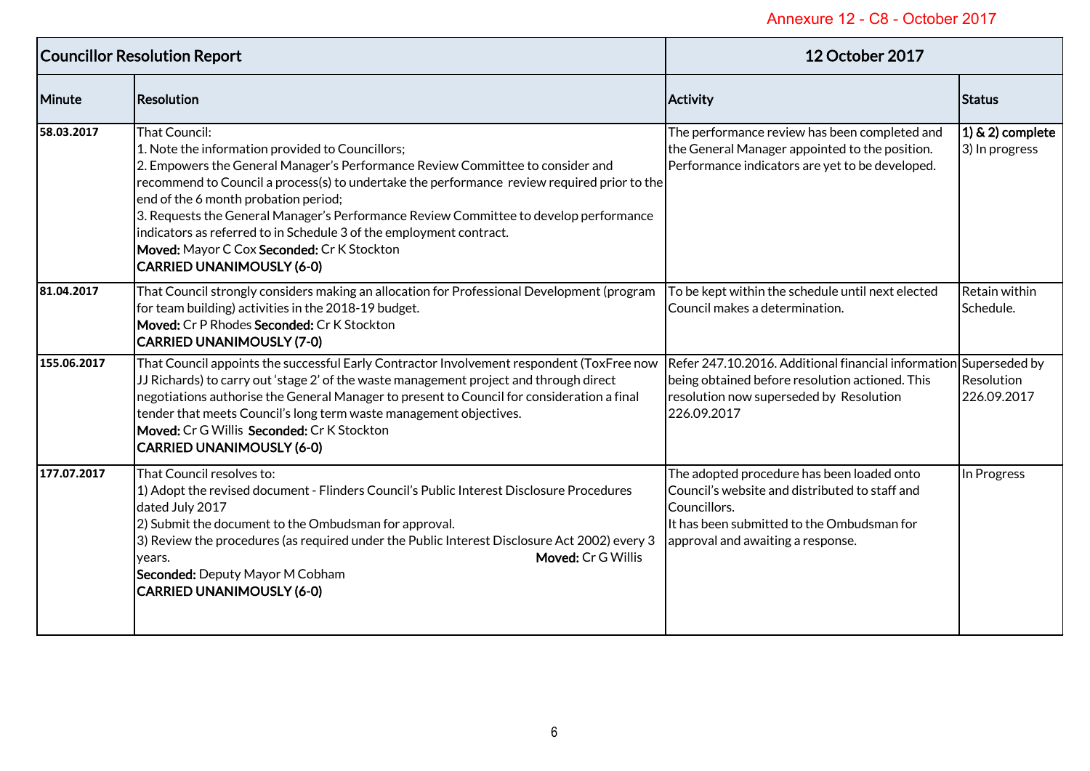| <b>Councillor Resolution Report</b> |                                                                                                                                                                                                                                                                                                                                                                                                                                                                                                                                                     | <b>12 October 2017</b>                                                                                                                                                                          |                                       |
|-------------------------------------|-----------------------------------------------------------------------------------------------------------------------------------------------------------------------------------------------------------------------------------------------------------------------------------------------------------------------------------------------------------------------------------------------------------------------------------------------------------------------------------------------------------------------------------------------------|-------------------------------------------------------------------------------------------------------------------------------------------------------------------------------------------------|---------------------------------------|
| Minute                              | <b>Resolution</b>                                                                                                                                                                                                                                                                                                                                                                                                                                                                                                                                   | <b>Activity</b>                                                                                                                                                                                 | <b>Status</b>                         |
| 58.03.2017                          | <b>That Council:</b><br>1. Note the information provided to Councillors;<br>2. Empowers the General Manager's Performance Review Committee to consider and<br>recommend to Council a process(s) to undertake the performance review required prior to the<br>end of the 6 month probation period;<br>3. Requests the General Manager's Performance Review Committee to develop performance<br>indicators as referred to in Schedule 3 of the employment contract.<br>Moved: Mayor C Cox Seconded: Cr K Stockton<br><b>CARRIED UNANIMOUSLY (6-0)</b> | The performance review has been completed and<br>the General Manager appointed to the position.<br>Performance indicators are yet to be developed.                                              | $(1)$ & 2) complete<br>3) In progress |
| 81.04.2017                          | That Council strongly considers making an allocation for Professional Development (program<br>for team building) activities in the 2018-19 budget.<br>Moved: Cr P Rhodes Seconded: Cr K Stockton<br><b>CARRIED UNANIMOUSLY (7-0)</b>                                                                                                                                                                                                                                                                                                                | To be kept within the schedule until next elected<br>Council makes a determination.                                                                                                             | Retain within<br>Schedule.            |
| 155.06.2017                         | That Council appoints the successful Early Contractor Involvement respondent (ToxFree now<br>JJ Richards) to carry out 'stage 2' of the waste management project and through direct<br>negotiations authorise the General Manager to present to Council for consideration a final<br>tender that meets Council's long term waste management objectives.<br>Moved: Cr G Willis Seconded: Cr K Stockton<br><b>CARRIED UNANIMOUSLY (6-0)</b>                                                                                                           | Refer 247.10.2016. Additional financial information Superseded by<br>being obtained before resolution actioned. This<br>resolution now superseded by Resolution<br>226.09.2017                  | Resolution<br>226.09.2017             |
| 177.07.2017                         | That Council resolves to:<br>1) Adopt the revised document - Flinders Council's Public Interest Disclosure Procedures<br>dated July 2017<br>2) Submit the document to the Ombudsman for approval.<br>3) Review the procedures (as required under the Public Interest Disclosure Act 2002) every 3<br>Moved: Cr G Willis<br>vears.<br>Seconded: Deputy Mayor M Cobham<br><b>CARRIED UNANIMOUSLY (6-0)</b>                                                                                                                                            | The adopted procedure has been loaded onto<br>Council's website and distributed to staff and<br>Councillors.<br>It has been submitted to the Ombudsman for<br>approval and awaiting a response. | In Progress                           |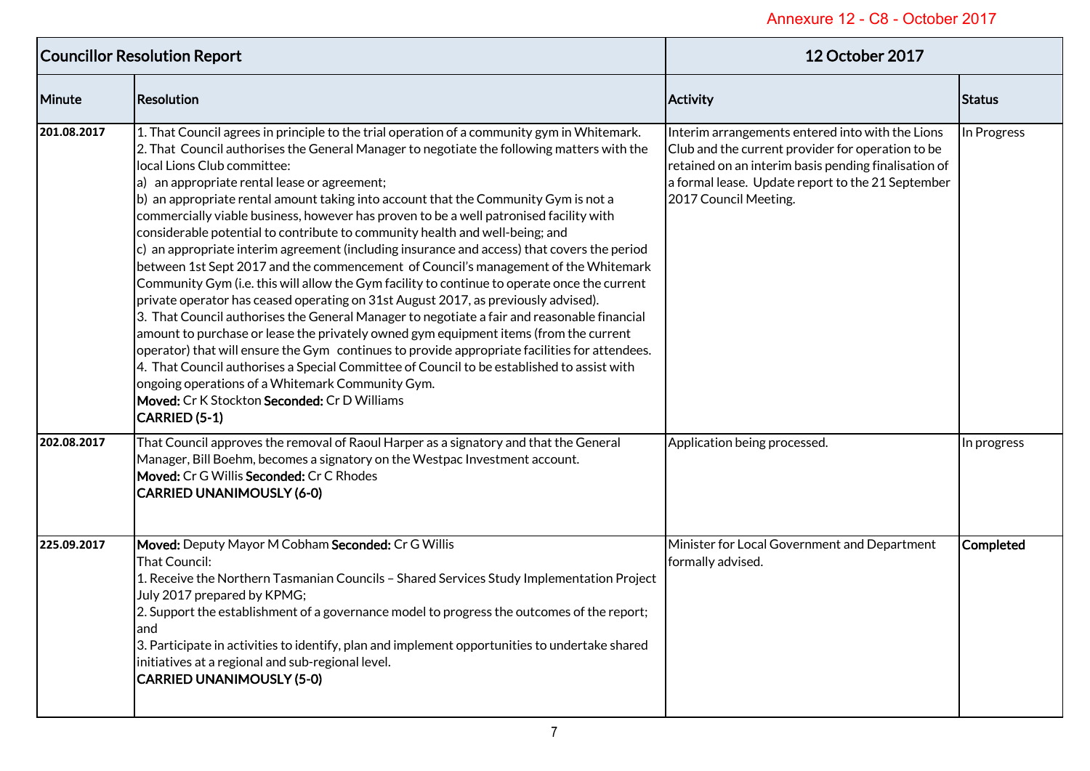| <b>Councillor Resolution Report</b> |                                                                                                                                                                                                                                                                                                                                                                                                                                                                                                                                                                                                                                                                                                                                                                                                                                                                                                                                                                                                                                                                                                                                                                                                                                                                                                                                                                                                                                   | 12 October 2017                                                                                                                                                                                                                             |               |
|-------------------------------------|-----------------------------------------------------------------------------------------------------------------------------------------------------------------------------------------------------------------------------------------------------------------------------------------------------------------------------------------------------------------------------------------------------------------------------------------------------------------------------------------------------------------------------------------------------------------------------------------------------------------------------------------------------------------------------------------------------------------------------------------------------------------------------------------------------------------------------------------------------------------------------------------------------------------------------------------------------------------------------------------------------------------------------------------------------------------------------------------------------------------------------------------------------------------------------------------------------------------------------------------------------------------------------------------------------------------------------------------------------------------------------------------------------------------------------------|---------------------------------------------------------------------------------------------------------------------------------------------------------------------------------------------------------------------------------------------|---------------|
| Minute                              | Resolution                                                                                                                                                                                                                                                                                                                                                                                                                                                                                                                                                                                                                                                                                                                                                                                                                                                                                                                                                                                                                                                                                                                                                                                                                                                                                                                                                                                                                        | <b>Activity</b>                                                                                                                                                                                                                             | <b>Status</b> |
| 201.08.2017                         | 1. That Council agrees in principle to the trial operation of a community gym in Whitemark.<br>2. That Council authorises the General Manager to negotiate the following matters with the<br>local Lions Club committee:<br>a) an appropriate rental lease or agreement;<br>b) an appropriate rental amount taking into account that the Community Gym is not a<br>commercially viable business, however has proven to be a well patronised facility with<br>considerable potential to contribute to community health and well-being; and<br>c) an appropriate interim agreement (including insurance and access) that covers the period<br>between 1st Sept 2017 and the commencement of Council's management of the Whitemark<br>Community Gym (i.e. this will allow the Gym facility to continue to operate once the current<br>private operator has ceased operating on 31st August 2017, as previously advised).<br>3. That Council authorises the General Manager to negotiate a fair and reasonable financial<br>amount to purchase or lease the privately owned gym equipment items (from the current<br>operator) that will ensure the Gym continues to provide appropriate facilities for attendees.<br>4. That Council authorises a Special Committee of Council to be established to assist with<br>ongoing operations of a Whitemark Community Gym.<br>Moved: Cr K Stockton Seconded: Cr D Williams<br>CARRIED (5-1) | Interim arrangements entered into with the Lions<br>Club and the current provider for operation to be<br>retained on an interim basis pending finalisation of<br>a formal lease. Update report to the 21 September<br>2017 Council Meeting. | In Progress   |
| 202.08.2017                         | That Council approves the removal of Raoul Harper as a signatory and that the General<br>Manager, Bill Boehm, becomes a signatory on the Westpac Investment account.<br>Moved: Cr G Willis Seconded: Cr C Rhodes<br><b>CARRIED UNANIMOUSLY (6-0)</b>                                                                                                                                                                                                                                                                                                                                                                                                                                                                                                                                                                                                                                                                                                                                                                                                                                                                                                                                                                                                                                                                                                                                                                              | Application being processed.                                                                                                                                                                                                                | In progress   |
| 225.09.2017                         | Moved: Deputy Mayor M Cobham Seconded: Cr G Willis<br><b>That Council:</b><br>1. Receive the Northern Tasmanian Councils - Shared Services Study Implementation Project<br>July 2017 prepared by KPMG;<br>2. Support the establishment of a governance model to progress the outcomes of the report;<br>and<br>3. Participate in activities to identify, plan and implement opportunities to undertake shared<br>initiatives at a regional and sub-regional level.<br><b>CARRIED UNANIMOUSLY (5-0)</b>                                                                                                                                                                                                                                                                                                                                                                                                                                                                                                                                                                                                                                                                                                                                                                                                                                                                                                                            | Minister for Local Government and Department<br>formally advised.                                                                                                                                                                           | Completed     |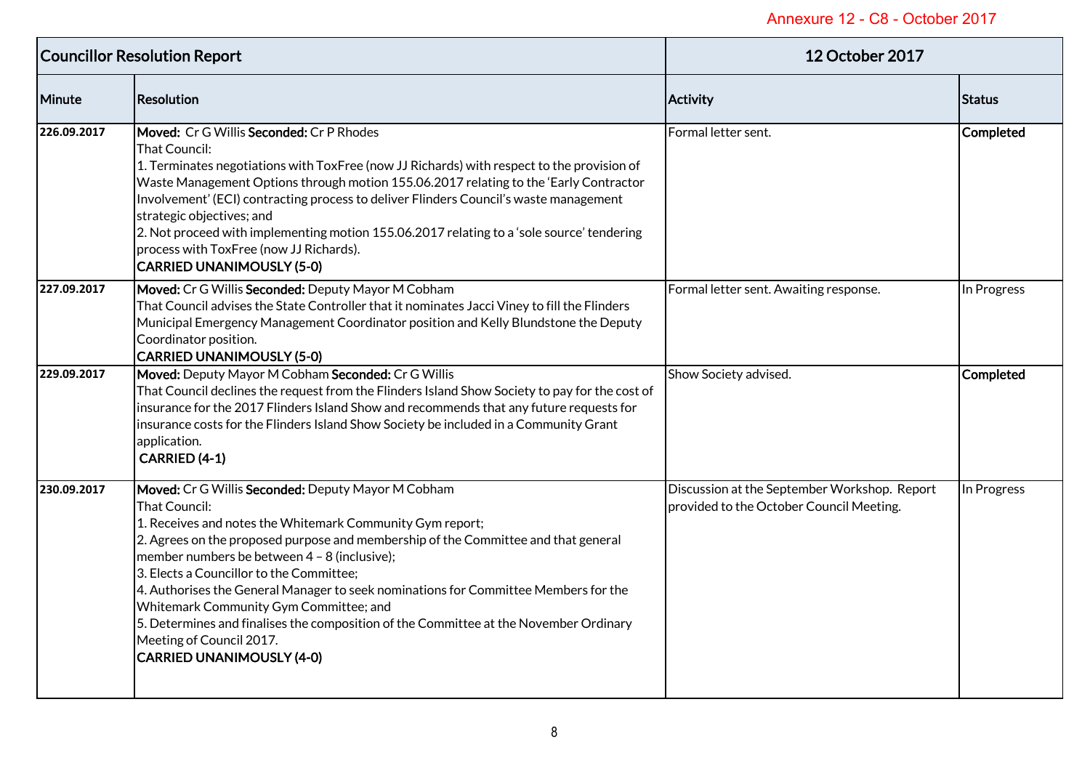| <b>Councillor Resolution Report</b> |                                                                                                                                                                                                                                                                                                                                                                                                                                                                                                                                                                                                              | <b>12 October 2017</b>                                                                   |                  |
|-------------------------------------|--------------------------------------------------------------------------------------------------------------------------------------------------------------------------------------------------------------------------------------------------------------------------------------------------------------------------------------------------------------------------------------------------------------------------------------------------------------------------------------------------------------------------------------------------------------------------------------------------------------|------------------------------------------------------------------------------------------|------------------|
| Minute                              | <b>Resolution</b>                                                                                                                                                                                                                                                                                                                                                                                                                                                                                                                                                                                            | <b>Activity</b>                                                                          | Status           |
| 226.09.2017                         | Moved: Cr G Willis Seconded: Cr P Rhodes<br>That Council:<br>1. Terminates negotiations with ToxFree (now JJ Richards) with respect to the provision of<br>Waste Management Options through motion 155.06.2017 relating to the 'Early Contractor<br>Involvement' (ECI) contracting process to deliver Flinders Council's waste management<br>strategic objectives; and<br>2. Not proceed with implementing motion 155.06.2017 relating to a 'sole source' tendering<br>process with ToxFree (now JJ Richards).<br><b>CARRIED UNANIMOUSLY (5-0)</b>                                                           | Formal letter sent.                                                                      | <b>Completed</b> |
| 227.09.2017                         | Moved: Cr G Willis Seconded: Deputy Mayor M Cobham<br>That Council advises the State Controller that it nominates Jacci Viney to fill the Flinders<br>Municipal Emergency Management Coordinator position and Kelly Blundstone the Deputy<br>Coordinator position.<br><b>CARRIED UNANIMOUSLY (5-0)</b>                                                                                                                                                                                                                                                                                                       | Formal letter sent. Awaiting response.                                                   | In Progress      |
| 229.09.2017                         | Moved: Deputy Mayor M Cobham Seconded: Cr G Willis<br>That Council declines the request from the Flinders Island Show Society to pay for the cost of<br>insurance for the 2017 Flinders Island Show and recommends that any future requests for<br>insurance costs for the Flinders Island Show Society be included in a Community Grant<br>application.<br>CARRIED (4-1)                                                                                                                                                                                                                                    | Show Society advised.                                                                    | <b>Completed</b> |
| 230.09.2017                         | Moved: Cr G Willis Seconded: Deputy Mayor M Cobham<br>That Council:<br>1. Receives and notes the Whitemark Community Gym report;<br>2. Agrees on the proposed purpose and membership of the Committee and that general<br>member numbers be between 4 - 8 (inclusive);<br>3. Elects a Councillor to the Committee;<br>4. Authorises the General Manager to seek nominations for Committee Members for the<br>Whitemark Community Gym Committee; and<br>5. Determines and finalises the composition of the Committee at the November Ordinary<br>Meeting of Council 2017.<br><b>CARRIED UNANIMOUSLY (4-0)</b> | Discussion at the September Workshop. Report<br>provided to the October Council Meeting. | In Progress      |